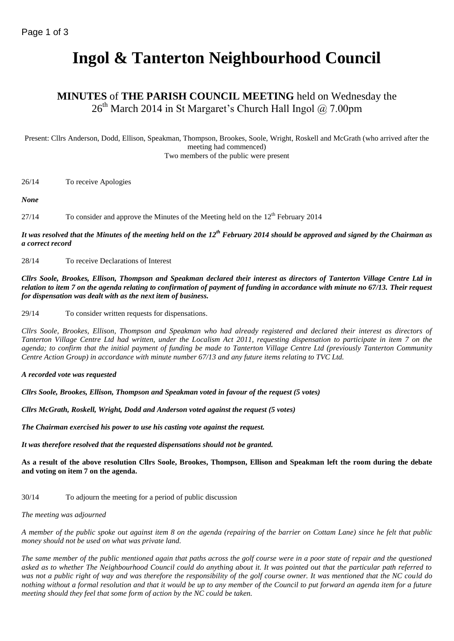# **Ingol & Tanterton Neighbourhood Council**

## **MINUTES** of **THE PARISH COUNCIL MEETING** held on Wednesday the  $26<sup>th</sup>$  March 2014 in St Margaret's Church Hall Ingol @ 7.00pm

Present: Cllrs Anderson, Dodd, Ellison, Speakman, Thompson, Brookes, Soole, Wright, Roskell and McGrath (who arrived after the meeting had commenced) Two members of the public were present

26/14 To receive Apologies

*None*

27/14 To consider and approve the Minutes of the Meeting held on the  $12<sup>th</sup>$  February 2014

#### *It was resolved that the Minutes of the meeting held on the 12 th February 2014 should be approved and signed by the Chairman as a correct record*

28/14 To receive Declarations of Interest

*Cllrs Soole, Brookes, Ellison, Thompson and Speakman declared their interest as directors of Tanterton Village Centre Ltd in relation to item 7 on the agenda relating to confirmation of payment of funding in accordance with minute no 67/13. Their request for dispensation was dealt with as the next item of business.*

29/14 To consider written requests for dispensations.

*Cllrs Soole, Brookes, Ellison, Thompson and Speakman who had already registered and declared their interest as directors of Tanterton Village Centre Ltd had written, under the Localism Act 2011, requesting dispensation to participate in item 7 on the agenda; to confirm that the initial payment of funding be made to Tanterton Village Centre Ltd (previously Tanterton Community Centre Action Group) in accordance with minute number 67/13 and any future items relating to TVC Ltd.*

*A recorded vote was requested*

*Cllrs Soole, Brookes, Ellison, Thompson and Speakman voted in favour of the request (5 votes)*

*Cllrs McGrath, Roskell, Wright, Dodd and Anderson voted against the request (5 votes)*

*The Chairman exercised his power to use his casting vote against the request.*

*It was therefore resolved that the requested dispensations should not be granted.*

**As a result of the above resolution Cllrs Soole, Brookes, Thompson, Ellison and Speakman left the room during the debate and voting on item 7 on the agenda.**

30/14 To adjourn the meeting for a period of public discussion

*The meeting was adjourned*

*A member of the public spoke out against item 8 on the agenda (repairing of the barrier on Cottam Lane) since he felt that public money should not be used on what was private land.*

*The same member of the public mentioned again that paths across the golf course were in a poor state of repair and the questioned asked as to whether The Neighbourhood Council could do anything about it. It was pointed out that the particular path referred to was not a public right of way and was therefore the responsibility of the golf course owner. It was mentioned that the NC could do nothing without a formal resolution and that it would be up to any member of the Council to put forward an agenda item for a future meeting should they feel that some form of action by the NC could be taken.*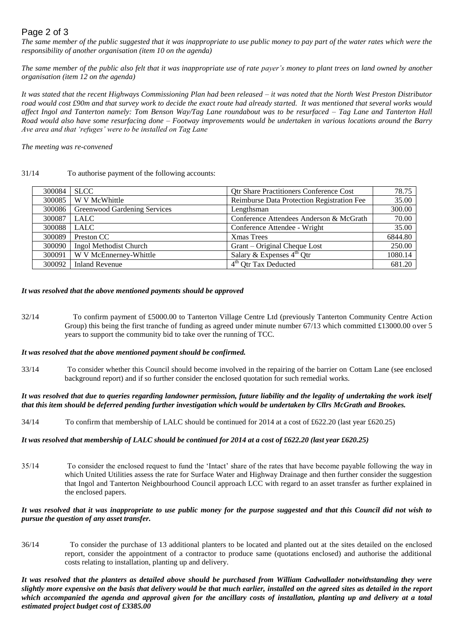## Page 2 of 3

*The same member of the public suggested that it was inappropriate to use public money to pay part of the water rates which were the responsibility of another organisation (item 10 on the agenda)*

*The same member of the public also felt that it was inappropriate use of rate payer's money to plant trees on land owned by another organisation (item 12 on the agenda)*

*It was stated that the recent Highways Commissioning Plan had been released – it was noted that the North West Preston Distributor road would cost £90m and that survey work to decide the exact route had already started. It was mentioned that several works would affect Ingol and Tanterton namely: Tom Benson Way/Tag Lane roundabout was to be resurfaced – Tag Lane and Tanterton Hall Road would also have some resurfacing done – Footway improvements would be undertaken in various locations around the Barry Ave area and that 'refuges' were to be installed on Tag Lane*

*The meeting was re-convened*

#### 31/14 To authorise payment of the following accounts:

| 300084 | <b>SLCC</b>                  | <b>Qtr Share Practitioners Conference Cost</b> | 78.75   |
|--------|------------------------------|------------------------------------------------|---------|
| 300085 | W V McWhittle                | Reimburse Data Protection Registration Fee     | 35.00   |
| 300086 | Greenwood Gardening Services | Lengthsman                                     | 300.00  |
| 300087 | LALC                         | Conference Attendees Anderson & McGrath        | 70.00   |
| 300088 | LALC                         | Conference Attendee - Wright                   | 35.00   |
| 300089 | Preston CC                   | <b>Xmas Trees</b>                              | 6844.80 |
| 300090 | Ingol Methodist Church       | Grant – Original Cheque Lost                   | 250.00  |
| 300091 | W V McEnnerney-Whittle       | Salary & Expenses $4^{\text{th}}$ Qtr          | 1080.14 |
|        | 300092   Inland Revenue      | $4th$ Qtr Tax Deducted                         | 681.20  |

#### *It was resolved that the above mentioned payments should be approved*

32/14 To confirm payment of £5000.00 to Tanterton Village Centre Ltd (previously Tanterton Community Centre Action Group) this being the first tranche of funding as agreed under minute number 67/13 which committed £13000.00 over 5 years to support the community bid to take over the running of TCC.

#### *It was resolved that the above mentioned payment should be confirmed.*

33/14 To consider whether this Council should become involved in the repairing of the barrier on Cottam Lane (see enclosed background report) and if so further consider the enclosed quotation for such remedial works.

*It was resolved that due to queries regarding landowner permission, future liability and the legality of undertaking the work itself that this item should be deferred pending further investigation which would be undertaken by Cllrs McGrath and Brookes.* 

34/14 To confirm that membership of LALC should be continued for 2014 at a cost of £622.20 (last year £620.25)

#### *It was resolved that membership of LALC should be continued for 2014 at a cost of £622.20 (last year £620.25)*

35/14 To consider the enclosed request to fund the 'Intact' share of the rates that have become payable following the way in which United Utilities assess the rate for Surface Water and Highway Drainage and then further consider the suggestion that Ingol and Tanterton Neighbourhood Council approach LCC with regard to an asset transfer as further explained in the enclosed papers.

#### *It was resolved that it was inappropriate to use public money for the purpose suggested and that this Council did not wish to pursue the question of any asset transfer.*

36/14 To consider the purchase of 13 additional planters to be located and planted out at the sites detailed on the enclosed report, consider the appointment of a contractor to produce same (quotations enclosed) and authorise the additional costs relating to installation, planting up and delivery.

*It was resolved that the planters as detailed above should be purchased from William Cadwallader notwithstanding they were slightly more expensive on the basis that delivery would be that much earlier, installed on the agreed sites as detailed in the report*  which accompanied the agenda and approval given for the ancillary costs of installation, planting up and delivery at a total *estimated project budget cost of £3385.00*